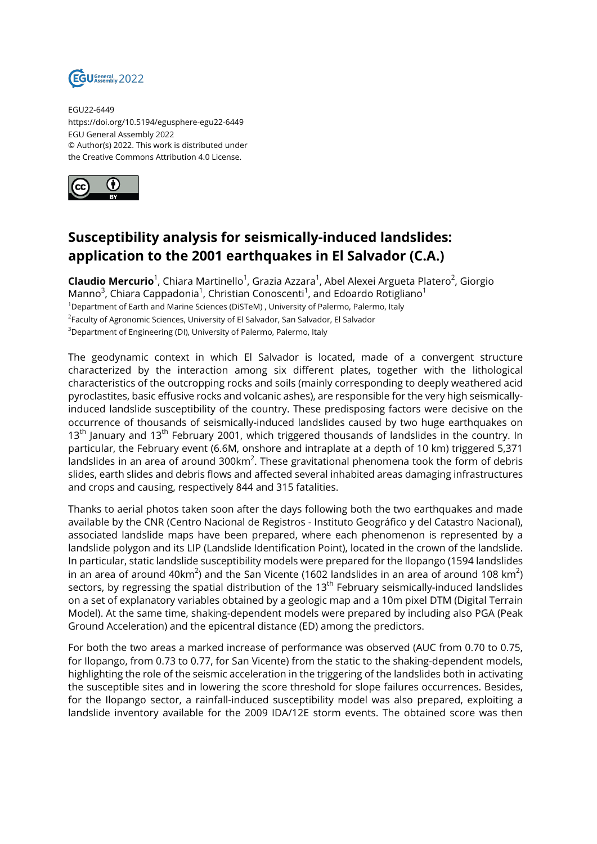

EGU22-6449 https://doi.org/10.5194/egusphere-egu22-6449 EGU General Assembly 2022 © Author(s) 2022. This work is distributed under the Creative Commons Attribution 4.0 License.



## **Susceptibility analysis for seismically-induced landslides: application to the 2001 earthquakes in El Salvador (C.A.)**

**Claudio Mercurio**<sup>1</sup>, Chiara Martinello<sup>1</sup>, Grazia Azzara<sup>1</sup>, Abel Alexei Argueta Platero<sup>2</sup>, Giorgio Manno $^3$ , Chiara Cappadonia $^1$ , Christian Conoscenti $^1$ , and Edoardo Rotigliano $^1$ <sup>1</sup>Department of Earth and Marine Sciences (DiSTeM), University of Palermo, Palermo, Italy <sup>2</sup>Faculty of Agronomic Sciences, University of El Salvador, San Salvador, El Salvador <sup>3</sup>Department of Engineering (DI), University of Palermo, Palermo, Italy

The geodynamic context in which El Salvador is located, made of a convergent structure characterized by the interaction among six different plates, together with the lithological characteristics of the outcropping rocks and soils (mainly corresponding to deeply weathered acid pyroclastites, basic effusive rocks and volcanic ashes), are responsible for the very high seismicallyinduced landslide susceptibility of the country. These predisposing factors were decisive on the occurrence of thousands of seismically-induced landslides caused by two huge earthquakes on  $13<sup>th</sup>$  January and  $13<sup>th</sup>$  February 2001, which triggered thousands of landslides in the country. In particular, the February event (6.6M, onshore and intraplate at a depth of 10 km) triggered 5,371 landslides in an area of around 300km<sup>2</sup>. These gravitational phenomena took the form of debris slides, earth slides and debris flows and affected several inhabited areas damaging infrastructures and crops and causing, respectively 844 and 315 fatalities.

Thanks to aerial photos taken soon after the days following both the two earthquakes and made available by the CNR (Centro Nacional de Registros - Instituto Geográfico y del Catastro Nacional), associated landslide maps have been prepared, where each phenomenon is represented by a landslide polygon and its LIP (Landslide Identification Point), located in the crown of the landslide. In particular, static landslide susceptibility models were prepared for the Ilopango (1594 landslides in an area of around 40km $^2$ ) and the San Vicente (1602 landslides in an area of around 108 km $^2$ ) sectors, by regressing the spatial distribution of the 13<sup>th</sup> February seismically-induced landslides on a set of explanatory variables obtained by a geologic map and a 10m pixel DTM (Digital Terrain Model). At the same time, shaking-dependent models were prepared by including also PGA (Peak Ground Acceleration) and the epicentral distance (ED) among the predictors.

For both the two areas a marked increase of performance was observed (AUC from 0.70 to 0.75, for Ilopango, from 0.73 to 0.77, for San Vicente) from the static to the shaking-dependent models, highlighting the role of the seismic acceleration in the triggering of the landslides both in activating the susceptible sites and in lowering the score threshold for slope failures occurrences. Besides, for the Ilopango sector, a rainfall-induced susceptibility model was also prepared, exploiting a landslide inventory available for the 2009 IDA/12E storm events. The obtained score was then